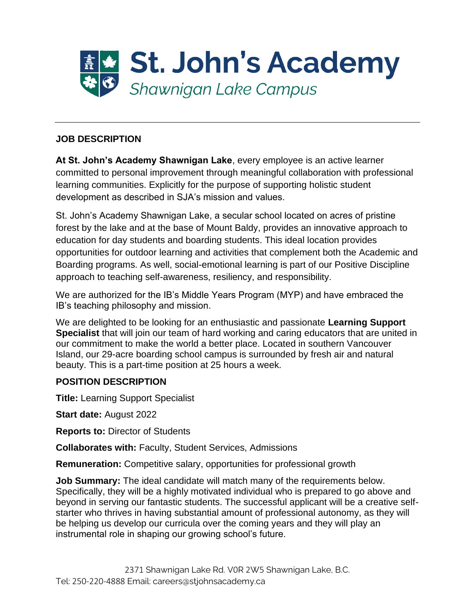

### **JOB DESCRIPTION**

**At St. John's Academy Shawnigan Lake**, every employee is an active learner committed to personal improvement through meaningful collaboration with professional learning communities. Explicitly for the purpose of supporting holistic student development as described in SJA's mission and values.

St. John's Academy Shawnigan Lake, a secular school located on acres of pristine forest by the lake and at the base of Mount Baldy, provides an innovative approach to education for day students and boarding students. This ideal location provides opportunities for outdoor learning and activities that complement both the Academic and Boarding programs. As well, social-emotional learning is part of our Positive Discipline approach to teaching self-awareness, resiliency, and responsibility.

We are authorized for the IB's Middle Years Program (MYP) and have embraced the IB's teaching philosophy and mission.

We are delighted to be looking for an enthusiastic and passionate **Learning Support Specialist** that will join our team of hard working and caring educators that are united in our commitment to make the world a better place. Located in southern Vancouver Island, our 29-acre boarding school campus is surrounded by fresh air and natural beauty. This is a part-time position at 25 hours a week.

### **POSITION DESCRIPTION**

**Title:** Learning Support Specialist

**Start date:** August 2022

**Reports to:** Director of Students

**Collaborates with:** Faculty, Student Services, Admissions

**Remuneration:** Competitive salary, opportunities for professional growth

**Job Summary:** The ideal candidate will match many of the requirements below. Specifically, they will be a highly motivated individual who is prepared to go above and beyond in serving our fantastic students. The successful applicant will be a creative selfstarter who thrives in having substantial amount of professional autonomy, as they will be helping us develop our curricula over the coming years and they will play an instrumental role in shaping our growing school's future.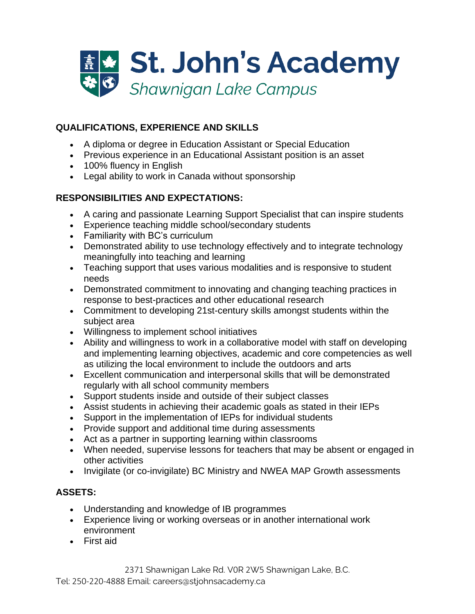

# **QUALIFICATIONS, EXPERIENCE AND SKILLS**

- A diploma or degree in Education Assistant or Special Education
- Previous experience in an Educational Assistant position is an asset
- 100% fluency in English
- Legal ability to work in Canada without sponsorship

## **RESPONSIBILITIES AND EXPECTATIONS:**

- A caring and passionate Learning Support Specialist that can inspire students
- Experience teaching middle school/secondary students
- Familiarity with BC's curriculum
- Demonstrated ability to use technology effectively and to integrate technology meaningfully into teaching and learning
- Teaching support that uses various modalities and is responsive to student needs
- Demonstrated commitment to innovating and changing teaching practices in response to best-practices and other educational research
- Commitment to developing 21st-century skills amongst students within the subject area
- Willingness to implement school initiatives
- Ability and willingness to work in a collaborative model with staff on developing and implementing learning objectives, academic and core competencies as well as utilizing the local environment to include the outdoors and arts
- Excellent communication and interpersonal skills that will be demonstrated regularly with all school community members
- Support students inside and outside of their subject classes
- Assist students in achieving their academic goals as stated in their IEPs
- Support in the implementation of IEPs for individual students
- Provide support and additional time during assessments
- Act as a partner in supporting learning within classrooms
- When needed, supervise lessons for teachers that may be absent or engaged in other activities
- Invigilate (or co-invigilate) BC Ministry and NWEA MAP Growth assessments

## **ASSETS:**

- Understanding and knowledge of IB programmes
- Experience living or working overseas or in another international work environment
- First aid